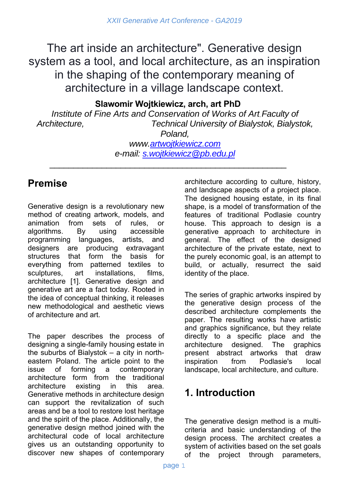The art inside an architecture". Generative design system as a tool, and local architecture, as an inspiration in the shaping of the contemporary meaning of architecture in a village landscape context.

#### **Slawomir Wojtkiewicz, arch, art PhD**

*Institute of Fine Arts and Conservation of Works of Art*, *Faculty of Architecture, Technical University of Bialystok, Bialystok,* 

*Poland, www.artwojtkiewicz.com e-mail: s.wojtkiewicz@pb.edu.pl*

\_\_\_\_\_\_\_\_\_\_\_\_\_\_\_\_\_\_\_\_\_\_\_\_\_\_\_\_\_\_\_\_\_\_\_\_\_\_\_\_\_\_\_\_\_\_\_\_\_\_

# **Premise**

Generative design is a revolutionary new method of creating artwork, models, and animation from sets of rules, or algorithms. By using accessible programming languages, artists, and designers are producing extravagant structures that form the basis for everything from patterned textiles to sculptures, art installations, films, architecture [1]. Generative design and generative art are a fact today. Rooted in the idea of conceptual thinking, it releases new methodological and aesthetic views of architecture and art.

The paper describes the process of designing a single-family housing estate in the suburbs of Bialystok – a city in northeastern Poland. The article point to the issue of forming a contemporary architecture form from the traditional architecture existing in this area. Generative methods in architecture design can support the revitalization of such areas and be a tool to restore lost heritage and the spirit of the place. Additionally, the generative design method joined with the architectural code of local architecture gives us an outstanding opportunity to discover new shapes of contemporary

architecture according to culture, history, and landscape aspects of a project place. The designed housing estate, in its final shape, is a model of transformation of the features of traditional Podlasie country house. This approach to design is a generative approach to architecture in general. The effect of the designed architecture of the private estate, next to the purely economic goal, is an attempt to build, or actually, resurrect the said identity of the place.

The series of graphic artworks inspired by the generative design process of the described architecture complements the paper. The resulting works have artistic and graphics significance, but they relate directly to a specific place and the architecture designed. The graphics present abstract artworks that draw inspiration from Podlasie's local landscape, local architecture, and culture.

# **1. Introduction**

The generative design method is a multicriteria and basic understanding of the design process. The architect creates a system of activities based on the set goals of the project through parameters,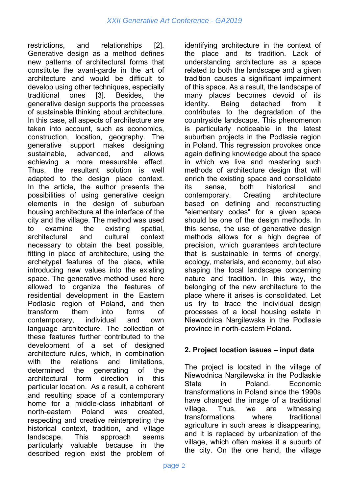restrictions, and relationships [2]. Generative design as a method defines new patterns of architectural forms that constitute the avant-garde in the art of architecture and would be difficult to develop using other techniques, especially traditional ones [3]. Besides, the generative design supports the processes of sustainable thinking about architecture. In this case, all aspects of architecture are taken into account, such as economics, construction, location, geography. The generative support makes designing sustainable, advanced, and allows achieving a more measurable effect. Thus, the resultant solution is well adapted to the design place context. In the article, the author presents the possibilities of using generative design elements in the design of suburban housing architecture at the interface of the city and the village. The method was used to examine the existing spatial, architectural and cultural context necessary to obtain the best possible, fitting in place of architecture, using the archetypal features of the place, while introducing new values into the existing space. The generative method used here allowed to organize the features of residential development in the Eastern Podlasie region of Poland, and then transform them into forms of contemporary, individual and own language architecture. The collection of these features further contributed to the development of a set of designed architecture rules, which, in combination with the relations and limitations, determined the generating of the architectural form direction in this particular location. As a result, a coherent and resulting space of a contemporary home for a middle-class inhabitant of north-eastern Poland was created, respecting and creative reinterpreting the historical context, tradition, and village landscape. This approach seems particularly valuable because in the described region exist the problem of

identifying architecture in the context of the place and its tradition. Lack of understanding architecture as a space related to both the landscape and a given tradition causes a significant impairment of this space. As a result, the landscape of many places becomes devoid of its identity. Being detached from it contributes to the degradation of the countryside landscape. This phenomenon is particularly noticeable in the latest suburban projects in the Podlasie region in Poland. This regression provokes once again defining knowledge about the space in which we live and mastering such methods of architecture design that will enrich the existing space and consolidate its sense, both historical and contemporary. Creating architecture based on defining and reconstructing "elementary codes" for a given space should be one of the design methods. In this sense, the use of generative design methods allows for a high degree of precision, which guarantees architecture that is sustainable in terms of energy, ecology, materials, and economy, but also shaping the local landscape concerning nature and tradition. In this way, the belonging of the new architecture to the place where it arises is consolidated. Let us try to trace the individual design processes of a local housing estate in Niewodnica Nargilewska in the Podlasie province in north-eastern Poland.

#### **2. Project location issues – input data**

The project is located in the village of Niewodnica Nargilewska in the Podlaskie State in Poland. Economic transformations in Poland since the 1990s have changed the image of a traditional village. Thus, we are witnessing transformations where traditional agriculture in such areas is disappearing, and it is replaced by urbanization of the village, which often makes it a suburb of the city. On the one hand, the village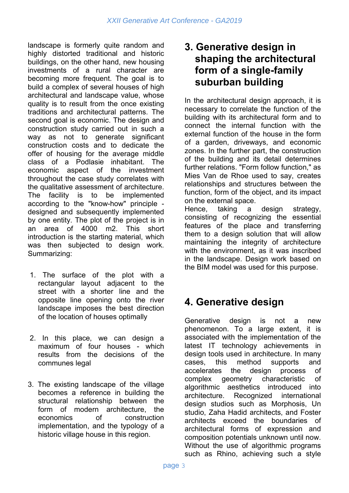landscape is formerly quite random and highly distorted traditional and historic buildings, on the other hand, new housing investments of a rural character are becoming more frequent. The goal is to build a complex of several houses of high architectural and landscape value, whose quality is to result from the once existing traditions and architectural patterns. The second goal is economic. The design and construction study carried out in such a way as not to generate significant construction costs and to dedicate the offer of housing for the average middle class of a Podlasie inhabitant. The economic aspect of the investment throughout the case study correlates with the qualitative assessment of architecture. The facility is to be implemented according to the "know-how" principle designed and subsequently implemented by one entity. The plot of the project is in an area of 4000 m2. This short introduction is the starting material, which was then subjected to design work. Summarizing:

- 1. The surface of the plot with a rectangular layout adjacent to the street with a shorter line and the opposite line opening onto the river landscape imposes the best direction of the location of houses optimally
- 2. In this place, we can design a maximum of four houses - which results from the decisions of the communes legal
- 3. The existing landscape of the village becomes a reference in building the structural relationship between the form of modern architecture, the economics of construction implementation, and the typology of a historic village house in this region.

## **3. Generative design in shaping the architectural form of a single-family suburban building**

In the architectural design approach, it is necessary to correlate the function of the building with its architectural form and to connect the internal function with the external function of the house in the form of a garden, driveways, and economic zones. In the further part, the construction of the building and its detail determines further relations. "Form follow function," as Mies Van de Rhoe used to say, creates relationships and structures between the function, form of the object, and its impact on the external space.

Hence, taking a design strategy, consisting of recognizing the essential features of the place and transferring them to a design solution that will allow maintaining the integrity of architecture with the environment, as it was inscribed in the landscape. Design work based on the BIM model was used for this purpose.

# **4. Generative design**

Generative design is not a new phenomenon. To a large extent, it is associated with the implementation of the latest IT technology achievements in design tools used in architecture. In many cases, this method supports and accelerates the design process of complex geometry characteristic of algorithmic aesthetics introduced into architecture. Recognized international design studios such as Morphosis, Un studio, Zaha Hadid architects, and Foster architects exceed the boundaries of architectural forms of expression and composition potentials unknown until now. Without the use of algorithmic programs such as Rhino, achieving such a style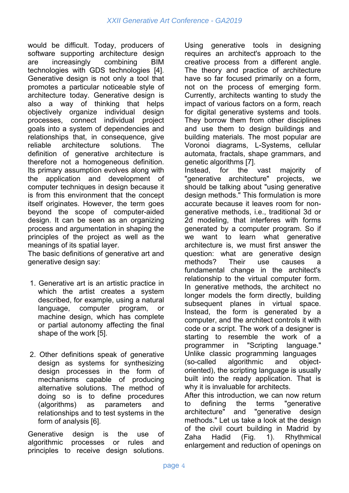would be difficult. Today, producers of software supporting architecture design are increasingly combining BIM technologies with GDS technologies [4]. Generative design is not only a tool that promotes a particular noticeable style of architecture today. Generative design is also a way of thinking that helps objectively organize individual design processes, connect individual project goals into a system of dependencies and relationships that, in consequence, give reliable architecture solutions. The definition of generative architecture is therefore not a homogeneous definition. Its primary assumption evolves along with the application and development of computer techniques in design because it is from this environment that the concept itself originates. However, the term goes beyond the scope of computer-aided design. It can be seen as an organizing process and argumentation in shaping the principles of the project as well as the meanings of its spatial layer.

The basic definitions of generative art and generative design say:

- 1. Generative art is an artistic practice in which the artist creates a system described, for example, using a natural language, computer program, or machine design, which has complete or partial autonomy affecting the final shape of the work [5].
- 2. Other definitions speak of generative design as systems for synthesizing design processes in the form of mechanisms capable of producing alternative solutions. The method of doing so is to define procedures (algorithms) as parameters and relationships and to test systems in the form of analysis [6].

Generative design is the use of algorithmic processes or rules and principles to receive design solutions.

Using generative tools in designing requires an architect's approach to the creative process from a different angle. The theory and practice of architecture have so far focused primarily on a form, not on the process of emerging form. Currently, architects wanting to study the impact of various factors on a form, reach for digital generative systems and tools. They borrow them from other disciplines and use them to design buildings and building materials. The most popular are Voronoi diagrams, L-Systems, cellular automata, fractals, shape grammars, and genetic algorithms [7].

Instead, for the vast majority of "generative architecture" projects, we should be talking about "using generative design methods." This formulation is more accurate because it leaves room for nongenerative methods, i.e., traditional 3d or 2d modeling, that interferes with forms generated by a computer program. So if we want to learn what generative architecture is, we must first answer the question: what are generative design methods? Their use causes a fundamental change in the architect's relationship to the virtual computer form. In generative methods, the architect no longer models the form directly, building subsequent planes in virtual space. Instead, the form is generated by a computer, and the architect controls it with code or a script. The work of a designer is starting to resemble the work of a programmer in "Scripting language." Unlike classic programming languages (so-called algorithmic and objectoriented), the scripting language is usually built into the ready application. That is why it is invaluable for architects.

After this introduction, we can now return to defining the terms "generative architecture" and "generative design methods." Let us take a look at the design of the civil court building in Madrid by Zaha Hadid (Fig. 1). Rhythmical enlargement and reduction of openings on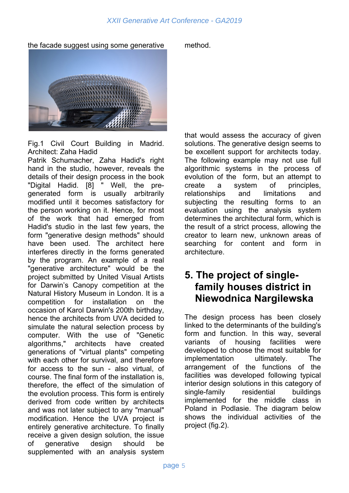the facade suggest using some generative method.



Fig.1 Civil Court Building in Madrid. Architect: Zaha Hadid

Patrik Schumacher, Zaha Hadid's right hand in the studio, however, reveals the details of their design process in the book "Digital Hadid. [8] " Well, the pregenerated form is usually arbitrarily modified until it becomes satisfactory for the person working on it. Hence, for most of the work that had emerged from Hadid's studio in the last few years, the form "generative design methods" should have been used. The architect here interferes directly in the forms generated by the program. An example of a real "generative architecture" would be the project submitted by United Visual Artists for Darwin's Canopy competition at the Natural History Museum in London. It is a competition for installation on the occasion of Karol Darwin's 200th birthday, hence the architects from UVA decided to simulate the natural selection process by computer. With the use of "Genetic algorithms," architects have created generations of "virtual plants" competing with each other for survival, and therefore for access to the sun - also virtual, of course. The final form of the installation is, therefore, the effect of the simulation of the evolution process. This form is entirely derived from code written by architects and was not later subject to any "manual" modification. Hence the UVA project is entirely generative architecture. To finally receive a given design solution, the issue of generative design should be supplemented with an analysis system

that would assess the accuracy of given solutions. The generative design seems to be excellent support for architects today. The following example may not use full algorithmic systems in the process of evolution of the form, but an attempt to create a system of principles, relationships and limitations and subjecting the resulting forms to an evaluation using the analysis system determines the architectural form, which is the result of a strict process, allowing the creator to learn new, unknown areas of searching for content and form in architecture.

## **5. The project of singlefamily houses district in Niewodnica Nargilewska**

The design process has been closely linked to the determinants of the building's form and function. In this way, several variants of housing facilities were developed to choose the most suitable for implementation ultimately. The arrangement of the functions of the facilities was developed following typical interior design solutions in this category of single-family residential buildings implemented for the middle class in Poland in Podlasie. The diagram below shows the individual activities of the project (fig.2).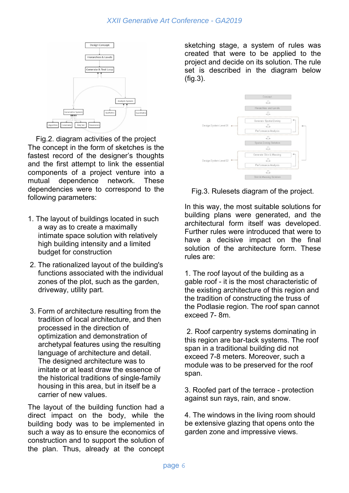

Fig.2. diagram activities of the project The concept in the form of sketches is the fastest record of the designer's thoughts and the first attempt to link the essential components of a project venture into a mutual dependence network. These dependencies were to correspond to the following parameters:

- 1. The layout of buildings located in such a way as to create a maximally intimate space solution with relatively high building intensity and a limited budget for construction
- 2. The rationalized layout of the building's functions associated with the individual zones of the plot, such as the garden, driveway, utility part.
- 3. Form of architecture resulting from the tradition of local architecture, and then processed in the direction of optimization and demonstration of archetypal features using the resulting language of architecture and detail. The designed architecture was to imitate or at least draw the essence of the historical traditions of single-family housing in this area, but in itself be a carrier of new values.

The layout of the building function had a direct impact on the body, while the building body was to be implemented in such a way as to ensure the economics of construction and to support the solution of the plan. Thus, already at the concept sketching stage, a system of rules was created that were to be applied to the project and decide on its solution. The rule set is described in the diagram below (fig.3).



Fig.3. Rulesets diagram of the project.

In this way, the most suitable solutions for building plans were generated, and the architectural form itself was developed. Further rules were introduced that were to have a decisive impact on the final solution of the architecture form. These rules are:

1. The roof layout of the building as a gable roof - it is the most characteristic of the existing architecture of this region and the tradition of constructing the truss of the Podlasie region. The roof span cannot exceed 7- 8m.

 2. Roof carpentry systems dominating in this region are bar-tack systems. The roof span in a traditional building did not exceed 7-8 meters. Moreover, such a module was to be preserved for the roof span.

3. Roofed part of the terrace - protection against sun rays, rain, and snow.

4. The windows in the living room should be extensive glazing that opens onto the garden zone and impressive views.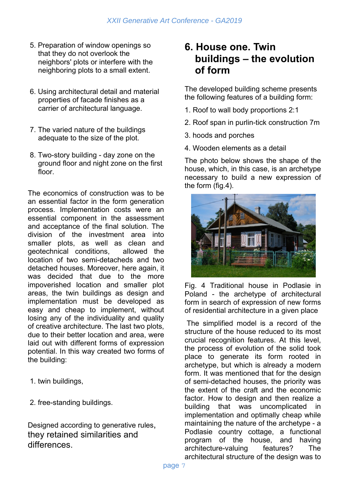- 5. Preparation of window openings so that they do not overlook the neighbors' plots or interfere with the neighboring plots to a small extent.
- 6. Using architectural detail and material properties of facade finishes as a carrier of architectural language.
- 7. The varied nature of the buildings adequate to the size of the plot.
- 8. Two-story building day zone on the ground floor and night zone on the first floor.

The economics of construction was to be an essential factor in the form generation process. Implementation costs were an essential component in the assessment and acceptance of the final solution. The division of the investment area into smaller plots, as well as clean and geotechnical conditions, allowed the location of two semi-detacheds and two detached houses. Moreover, here again, it was decided that due to the more impoverished location and smaller plot areas, the twin buildings as design and implementation must be developed as easy and cheap to implement, without losing any of the individuality and quality of creative architecture. The last two plots, due to their better location and area, were laid out with different forms of expression potential. In this way created two forms of the building:

- 1. twin buildings,
- 2. free-standing buildings.

Designed according to generative rules, they retained similarities and differences.

### **6. House one. Twin buildings – the evolution of form**

The developed building scheme presents the following features of a building form:

- 1. Roof to wall body proportions 2:1
- 2. Roof span in purlin-tick construction 7m
- 3. hoods and porches
- 4. Wooden elements as a detail

The photo below shows the shape of the house, which, in this case, is an archetype necessary to build a new expression of the form (fig.4).



Fig. 4 Traditional house in Podlasie in Poland - the archetype of architectural form in search of expression of new forms of residential architecture in a given place

 The simplified model is a record of the structure of the house reduced to its most crucial recognition features. At this level, the process of evolution of the solid took place to generate its form rooted in archetype, but which is already a modern form. It was mentioned that for the design of semi-detached houses, the priority was the extent of the craft and the economic factor. How to design and then realize a building that was uncomplicated in implementation and optimally cheap while maintaining the nature of the archetype - a Podlasie country cottage, a functional program of the house, and having architecture-valuing features? The architectural structure of the design was to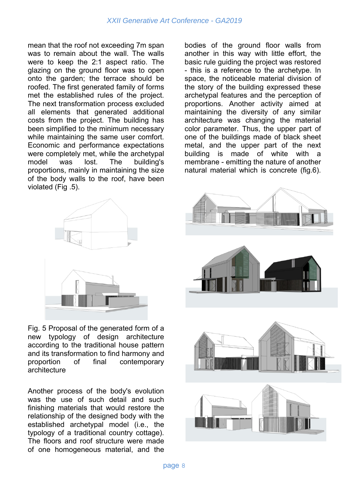#### *XXII Generative Art Conference - GA2019*

mean that the roof not exceeding 7m span was to remain about the wall. The walls were to keep the 2:1 aspect ratio. The glazing on the ground floor was to open onto the garden; the terrace should be roofed. The first generated family of forms met the established rules of the project. The next transformation process excluded all elements that generated additional costs from the project. The building has been simplified to the minimum necessary while maintaining the same user comfort. Economic and performance expectations were completely met, while the archetypal model was lost. The building's proportions, mainly in maintaining the size of the body walls to the roof, have been violated (Fig .5).

bodies of the ground floor walls from another in this way with little effort, the basic rule guiding the project was restored - this is a reference to the archetype. In space, the noticeable material division of the story of the building expressed these archetypal features and the perception of proportions. Another activity aimed at maintaining the diversity of any similar architecture was changing the material color parameter. Thus, the upper part of one of the buildings made of black sheet metal, and the upper part of the next building is made of white with a membrane - emitting the nature of another natural material which is concrete (fig.6).



Fig. 5 Proposal of the generated form of a new typology of design architecture according to the traditional house pattern and its transformation to find harmony and proportion of final contemporary architecture

Another process of the body's evolution was the use of such detail and such finishing materials that would restore the relationship of the designed body with the established archetypal model (i.e., the typology of a traditional country cottage). The floors and roof structure were made of one homogeneous material, and the

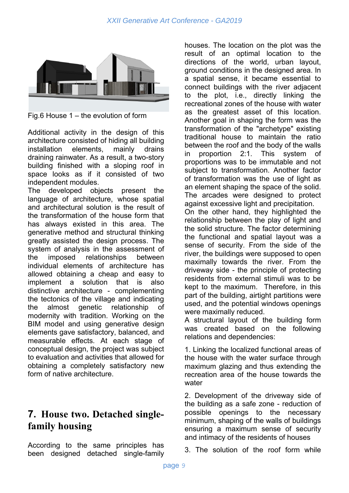

Fig.6 House 1 – the evolution of form

Additional activity in the design of this architecture consisted of hiding all building installation elements, mainly drains draining rainwater. As a result, a two-story building finished with a sloping roof in space looks as if it consisted of two independent modules.

The developed objects present the language of architecture, whose spatial and architectural solution is the result of the transformation of the house form that has always existed in this area. The generative method and structural thinking greatly assisted the design process. The system of analysis in the assessment of the imposed relationships between individual elements of architecture has allowed obtaining a cheap and easy to implement a solution that is also distinctive architecture - complementing the tectonics of the village and indicating the almost genetic relationship of modernity with tradition. Working on the BIM model and using generative design elements gave satisfactory, balanced, and measurable effects. At each stage of conceptual design, the project was subject to evaluation and activities that allowed for obtaining a completely satisfactory new form of native architecture.

## **7. House two. Detached singlefamily housing**

According to the same principles has been designed detached single-family

houses. The location on the plot was the result of an optimal location to the directions of the world, urban layout, ground conditions in the designed area. In a spatial sense, it became essential to connect buildings with the river adjacent to the plot, i.e., directly linking the recreational zones of the house with water as the greatest asset of this location. Another goal in shaping the form was the transformation of the "archetype" existing traditional house to maintain the ratio between the roof and the body of the walls in proportion 2:1. This system of proportions was to be immutable and not subject to transformation. Another factor of transformation was the use of light as an element shaping the space of the solid. The arcades were designed to protect against excessive light and precipitation.

On the other hand, they highlighted the relationship between the play of light and the solid structure. The factor determining the functional and spatial layout was a sense of security. From the side of the river, the buildings were supposed to open maximally towards the river. From the driveway side - the principle of protecting residents from external stimuli was to be kept to the maximum. Therefore, in this part of the building, airtight partitions were used, and the potential windows openings were maximally reduced.

A structural layout of the building form was created based on the following relations and dependencies:

1. Linking the localized functional areas of the house with the water surface through maximum glazing and thus extending the recreation area of the house towards the water

2. Development of the driveway side of the building as a safe zone - reduction of possible openings to the necessary minimum, shaping of the walls of buildings ensuring a maximum sense of security and intimacy of the residents of houses

3. The solution of the roof form while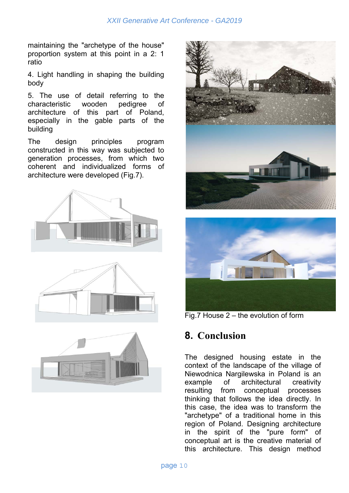maintaining the "archetype of the house" proportion system at this point in a 2: 1 ratio

4. Light handling in shaping the building body

5. The use of detail referring to the characteristic wooden pedigree of architecture of this part of Poland, especially in the gable parts of the building

The design principles program constructed in this way was subjected to generation processes, from which two coherent and individualized forms of architecture were developed (Fig.7).







Fig.7 House 2 – the evolution of form

#### **8. Conclusion**

The designed housing estate in the context of the landscape of the village of Niewodnica Nargilewska in Poland is an example of architectural creativity resulting from conceptual processes thinking that follows the idea directly. In this case, the idea was to transform the "archetype" of a traditional home in this region of Poland. Designing architecture in the spirit of the "pure form" of conceptual art is the creative material of this architecture. This design method